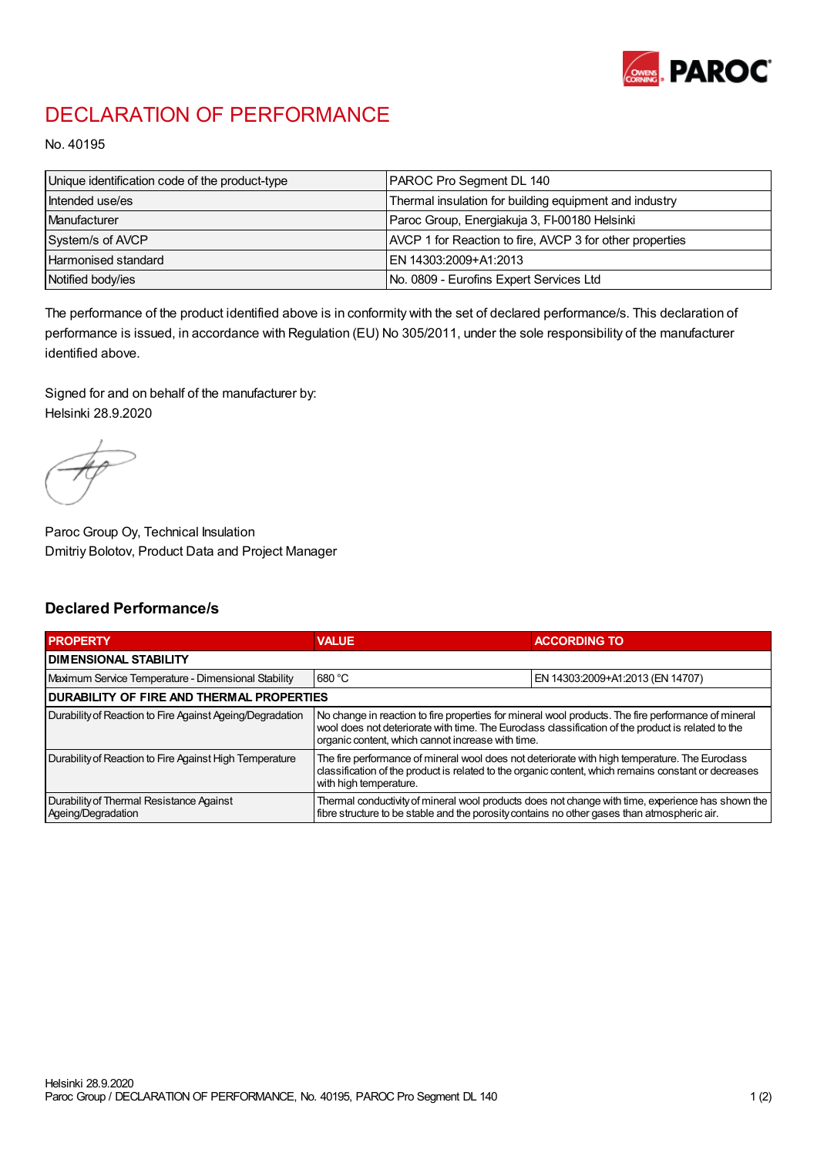

## DECLARATION OF PERFORMANCE

No. 40195

| Unique identification code of the product-type | PAROC Pro Segment DL 140                                 |
|------------------------------------------------|----------------------------------------------------------|
| Intended use/es                                | Thermal insulation for building equipment and industry   |
| Manufacturer                                   | Paroc Group, Energiakuja 3, FI-00180 Helsinki            |
| System/s of AVCP                               | AVCP 1 for Reaction to fire, AVCP 3 for other properties |
| Harmonised standard                            | IEN 14303:2009+A1:2013                                   |
| Notified body/ies                              | No. 0809 - Eurofins Expert Services Ltd                  |

The performance of the product identified above is in conformity with the set of declared performance/s. This declaration of performance is issued, in accordance with Regulation (EU) No 305/2011, under the sole responsibility of the manufacturer identified above.

Signed for and on behalf of the manufacturer by: Helsinki 28.9.2020

Paroc Group Oy, Technical Insulation Dmitriy Bolotov, Product Data and Project Manager

## Declared Performance/s

| <b>PROPERTY</b>                                                | <b>VALUE</b>                                                                                                                                                                                                                                                   | <b>ACCORDING TO.</b>             |  |
|----------------------------------------------------------------|----------------------------------------------------------------------------------------------------------------------------------------------------------------------------------------------------------------------------------------------------------------|----------------------------------|--|
| <b>DIMENSIONAL STABILITY</b>                                   |                                                                                                                                                                                                                                                                |                                  |  |
| Maximum Service Temperature - Dimensional Stability            | 680 °C                                                                                                                                                                                                                                                         | EN 14303:2009+A1:2013 (EN 14707) |  |
| <b>DURABILITY OF FIRE AND THERMAL PROPERTIES</b>               |                                                                                                                                                                                                                                                                |                                  |  |
| Durability of Reaction to Fire Against Ageing/Degradation      | No change in reaction to fire properties for mineral wool products. The fire performance of mineral<br>wool does not deteriorate with time. The Euroclass classification of the product is related to the<br>organic content, which cannot increase with time. |                                  |  |
| Durability of Reaction to Fire Against High Temperature        | The fire performance of mineral wool does not deteriorate with high temperature. The Euroclass<br>classification of the product is related to the organic content, which remains constant or decreases<br>with high temperature.                               |                                  |  |
| Durability of Thermal Resistance Against<br>Ageing/Degradation | Thermal conductivity of mineral wool products does not change with time, experience has shown the<br>fibre structure to be stable and the porosity contains no other gases than atmospheric air.                                                               |                                  |  |